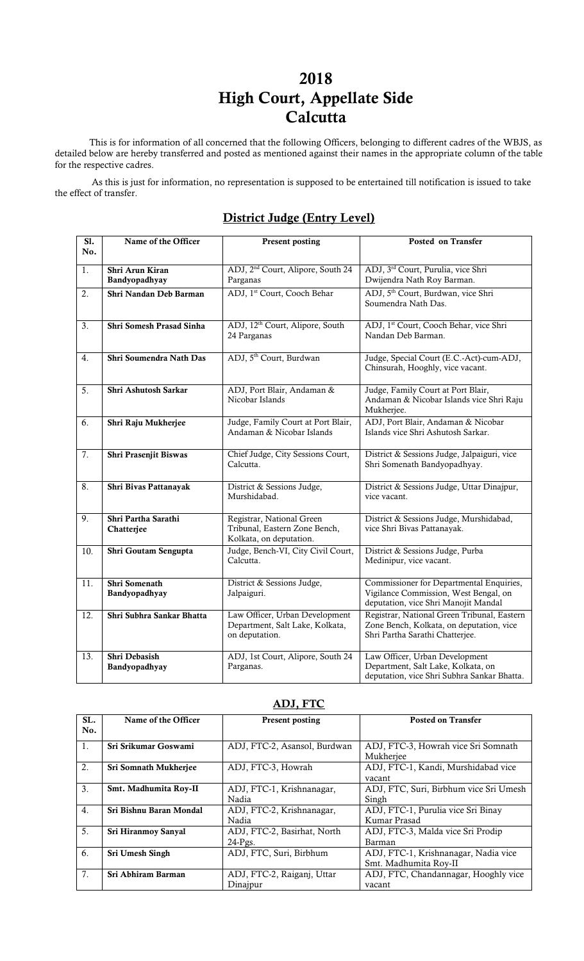# 2018 High Court, Appellate Side **Calcutta**

This is for information of all concerned that the following Officers, belonging to different cadres of the WBJS, as detailed below are hereby transferred and posted as mentioned against their names in the appropriate column of the table for the respective cadres.

As this is just for information, no representation is supposed to be entertained till notification is issued to take the effect of transfer.

#### Sl. No. Name of the Officer Present posting Posted on Transfer 1. Shri Arun Kiran Bandyopadhyay ADJ, 2nd Court, Alipore, South 24 Parganas ADJ, 3rd Court, Purulia, vice Shri Dwijendra Nath Roy Barman. 2. Shri Nandan Deb Barman ADJ, 1<sup>st</sup> Court, Cooch Behar ADJ, 5<sup>th</sup> Court, Burdwan, vice Shri Soumendra Nath Das. 3. Shri Somesh Prasad Sinha ADJ, 12<sup>th</sup> Court, Alipore, South 24 Parganas ADJ, 1st Court, Cooch Behar, vice Shri Nandan Deb Barman. 4. Shri Soumendra Nath Das ADJ, 5<sup>th</sup> Court, Burdwan Judge, Special Court (E.C.-Act)-cum-ADJ, Chinsurah, Hooghly, vice vacant. 5. Shri Ashutosh Sarkar ADJ, Port Blair, Andaman & Nicobar Islands Judge, Family Court at Port Blair, Andaman & Nicobar Islands vice Shri Raju Mukherjee. 6. Shri Raju Mukherjee Judge, Family Court at Port Blair, Andaman & Nicobar Islands ADJ, Port Blair, Andaman & Nicobar Islands vice Shri Ashutosh Sarkar. 7. Shri Prasenjit Biswas Chief Judge, City Sessions Court, Calcutta. District & Sessions Judge, Jalpaiguri, vice Shri Somenath Bandyopadhyay. 8. Shri Bivas Pattanayak District & Sessions Judge, Murshidabad. District & Sessions Judge, Uttar Dinajpur, vice vacant. 9. Shri Partha Sarathi Chatterjee Registrar, National Green Tribunal, Eastern Zone Bench, Kolkata, on deputation. District & Sessions Judge, Murshidabad, vice Shri Bivas Pattanayak. 10. Shri Goutam Sengupta Judge, Bench-VI, City Civil Court, Calcutta. District & Sessions Judge, Purba Medinipur, vice vacant. 11. Shri Somenath Bandyopadhyay District & Sessions Judge, Jalpaiguri. Commissioner for Departmental Enquiries, Vigilance Commission, West Bengal, on deputation, vice Shri Manojit Mandal 12. Shri Subhra Sankar Bhatta Law Officer, Urban Development Department, Salt Lake, Kolkata, on deputation. Registrar, National Green Tribunal, Eastern Zone Bench, Kolkata, on deputation, vice Shri Partha Sarathi Chatterjee. 13. Shri Debasish ADJ, 1st Court, Alipore, South 24 Law Officer, Urban Development

## District Judge (Entry Level)

| SL.              | Name of the Officer     | <b>Present posting</b>       | <b>Posted on Transfer</b>              |
|------------------|-------------------------|------------------------------|----------------------------------------|
| No.              |                         |                              |                                        |
|                  |                         |                              |                                        |
| 1.               | Sri Srikumar Goswami    | ADJ, FTC-2, Asansol, Burdwan | ADJ, FTC-3, Howrah vice Sri Somnath    |
|                  |                         |                              | Mukheriee                              |
| 2.               | Sri Somnath Mukherjee   | ADJ, FTC-3, Howrah           | ADJ, FTC-1, Kandi, Murshidabad vice    |
|                  |                         |                              | vacant                                 |
| 3.               | Smt. Madhumita Roy-II   | ADJ, FTC-1, Krishnanagar,    | ADJ, FTC, Suri, Birbhum vice Sri Umesh |
|                  |                         | Nadia                        | Singh                                  |
| $\overline{4}$ . | Sri Bishnu Baran Mondal | ADJ, FTC-2, Krishnanagar,    | ADJ, FTC-1, Purulia vice Sri Binay     |
|                  |                         | Nadia                        | Kumar Prasad                           |
| 5.               | Sri Hiranmov Sanyal     | ADJ, FTC-2, Basirhat, North  | ADJ, FTC-3, Malda vice Sri Prodip      |
|                  |                         | $24-Pgs$ .                   | Barman                                 |
| 6.               | Sri Umesh Singh         | ADJ, FTC, Suri, Birbhum      | ADJ, FTC-1, Krishnanagar, Nadia vice   |
|                  |                         |                              | Smt. Madhumita Roy-II                  |
| 7 <sub>1</sub>   | Sri Abhiram Barman      | ADJ, FTC-2, Raiganj, Uttar   | ADJ, FTC, Chandannagar, Hooghly vice   |
|                  |                         | Dinajpur                     | vacant                                 |

#### ADJ, FTC

Department, Salt Lake, Kolkata, on deputation, vice Shri Subhra Sankar Bhatta.

Parganas.

Bandyopadhyay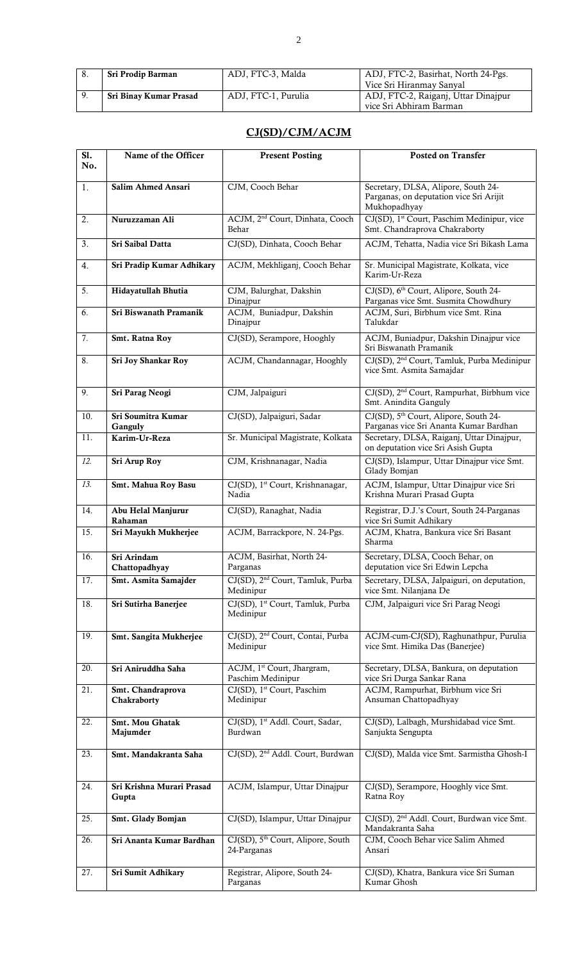| Sri Prodip Barman      | ADJ, FTC-3, Malda   | ADJ, FTC-2, Basirhat, North 24-Pgs. |
|------------------------|---------------------|-------------------------------------|
|                        |                     | Vice Sri Hiranmay Sanyal            |
| Sri Binay Kumar Prasad | ADJ. FTC-1. Purulia | ADJ, FTC-2, Raiganj, Uttar Dinajpur |
|                        |                     | vice Sri Abhiram Barman             |

### CJ(SD)/CJM/ACJM

| $\overline{SI.}$ | Name of the Officer                | <b>Present Posting</b>                                       | <b>Posted on Transfer</b>                                                                      |
|------------------|------------------------------------|--------------------------------------------------------------|------------------------------------------------------------------------------------------------|
| No.              |                                    |                                                              |                                                                                                |
| 1.               | <b>Salim Ahmed Ansari</b>          | CJM, Cooch Behar                                             | Secretary, DLSA, Alipore, South 24-<br>Parganas, on deputation vice Sri Arijit<br>Mukhopadhyay |
| 2.               | Nuruzzaman Ali                     | ACJM, 2 <sup>nd</sup> Court, Dinhata, Cooch<br>Behar         | CJ(SD), 1 <sup>st</sup> Court, Paschim Medinipur, vice<br>Smt. Chandraprova Chakraborty        |
| 3.               | Sri Saibal Datta                   | CJ(SD), Dinhata, Cooch Behar                                 | ACJM, Tehatta, Nadia vice Sri Bikash Lama                                                      |
| 4.               | Sri Pradip Kumar Adhikary          | ACJM, Mekhliganj, Cooch Behar                                | Sr. Municipal Magistrate, Kolkata, vice<br>Karim-Ur-Reza                                       |
| 5.               | Hidayatullah Bhutia                | CJM, Balurghat, Dakshin<br>Dinajpur                          | CJ(SD), 6 <sup>th</sup> Court, Alipore, South 24-<br>Parganas vice Smt. Susmita Chowdhury      |
| 6.               | Sri Biswanath Pramanik             | ACJM, Buniadpur, Dakshin<br>Dinajpur                         | ACJM, Suri, Birbhum vice Smt. Rina<br>Talukdar                                                 |
| 7.               | Smt. Ratna Roy                     | CJ(SD), Serampore, Hooghly                                   | ACJM, Buniadpur, Dakshin Dinajpur vice<br>Sri Biswanath Pramanik                               |
| 8.               | Sri Joy Shankar Roy                | ACJM, Chandannagar, Hooghly                                  | CJ(SD), 2 <sup>nd</sup> Court, Tamluk, Purba Medinipur<br>vice Smt. Asmita Samajdar            |
| 9.               | Sri Parag Neogi                    | CJM, Jalpaiguri                                              | CJ(SD), 2 <sup>nd</sup> Court, Rampurhat, Birbhum vice<br>Smt. Anindita Ganguly                |
| 10.              | Sri Soumitra Kumar<br>Ganguly      | CJ(SD), Jalpaiguri, Sadar                                    | CJ(SD), 5 <sup>th</sup> Court, Alipore, South 24-<br>Parganas vice Sri Ananta Kumar Bardhan    |
| 11.              | Karim-Ur-Reza                      | Sr. Municipal Magistrate, Kolkata                            | Secretary, DLSA, Raiganj, Uttar Dinajpur,<br>on deputation vice Sri Asish Gupta                |
| 12.              | Sri Arup Roy                       | CJM, Krishnanagar, Nadia                                     | CJ(SD), Islampur, Uttar Dinajpur vice Smt.<br>Glady Bomjan                                     |
| 13.              | Smt. Mahua Roy Basu                | CJ(SD), 1 <sup>st</sup> Court, Krishnanagar,<br>Nadia        | ACJM, Islampur, Uttar Dinajpur vice Sri<br>Krishna Murari Prasad Gupta                         |
| 14.              | Abu Helal Manjurur<br>Rahaman      | CJ(SD), Ranaghat, Nadia                                      | Registrar, D.J.'s Court, South 24-Parganas<br>vice Sri Sumit Adhikary                          |
| 15.              | Sri Mayukh Mukherjee               | ACJM, Barrackpore, N. 24-Pgs.                                | ACJM, Khatra, Bankura vice Sri Basant<br>Sharma                                                |
| 16.              | Sri Arindam<br>Chattopadhyay       | ACJM, Basirhat, North 24-<br>Parganas                        | Secretary, DLSA, Cooch Behar, on<br>deputation vice Sri Edwin Lepcha                           |
| 17.              | Smt. Asmita Samajder               | CJ(SD), 2 <sup>nd</sup> Court, Tamluk, Purba<br>Medinipur    | Secretary, DLSA, Jalpaiguri, on deputation,<br>vice Smt. Nilanjana De                          |
| 18.              | Sri Sutirha Banerjee               | CJ(SD), 1 <sup>st</sup> Court, Tamluk, Purba<br>Medinipur    | CJM, Jalpaiguri vice Sri Parag Neogi                                                           |
| 19.              | Smt. Sangita Mukherjee             | CJ(SD), 2 <sup>nd</sup> Court, Contai, Purba<br>Medinipur    | ACJM-cum-CJ(SD), Raghunathpur, Purulia<br>vice Smt. Himika Das (Banerjee)                      |
| 20.              | Sri Aniruddha Saha                 | ACJM, 1 <sup>st</sup> Court, Jhargram,<br>Paschim Medinipur  | Secretary, DLSA, Bankura, on deputation<br>vice Sri Durga Sankar Rana                          |
| 21.              | Smt. Chandraprova<br>Chakraborty   | CJ(SD), 1 <sup>st</sup> Court, Paschim<br>Medinipur          | ACJM, Rampurhat, Birbhum vice Sri<br>Ansuman Chattopadhyay                                     |
| 22.              | Smt. Mou Ghatak<br>Majumder        | CJ(SD), 1 <sup>st</sup> Addl. Court, Sadar,<br>Burdwan       | CJ(SD), Lalbagh, Murshidabad vice Smt.<br>Sanjukta Sengupta                                    |
| 23.              | Smt. Mandakranta Saha              | CJ(SD), 2 <sup>nd</sup> Addl. Court, Burdwan                 | CJ(SD), Malda vice Smt. Sarmistha Ghosh-I                                                      |
| 24.              | Sri Krishna Murari Prasad<br>Gupta | ACJM, Islampur, Uttar Dinajpur                               | CJ(SD), Serampore, Hooghly vice Smt.<br>Ratna Roy                                              |
| 25.              | Smt. Glady Bomjan                  | CJ(SD), Islampur, Uttar Dinajpur                             | CJ(SD), 2 <sup>nd</sup> Addl. Court, Burdwan vice Smt.<br>Mandakranta Saha                     |
| 26.              | Sri Ananta Kumar Bardhan           | CJ(SD), 5 <sup>th</sup> Court, Alipore, South<br>24-Parganas | CJM, Cooch Behar vice Salim Ahmed<br>Ansari                                                    |
| 27.              | Sri Sumit Adhikary                 | Registrar, Alipore, South 24-<br>Parganas                    | CJ(SD), Khatra, Bankura vice Sri Suman<br>Kumar Ghosh                                          |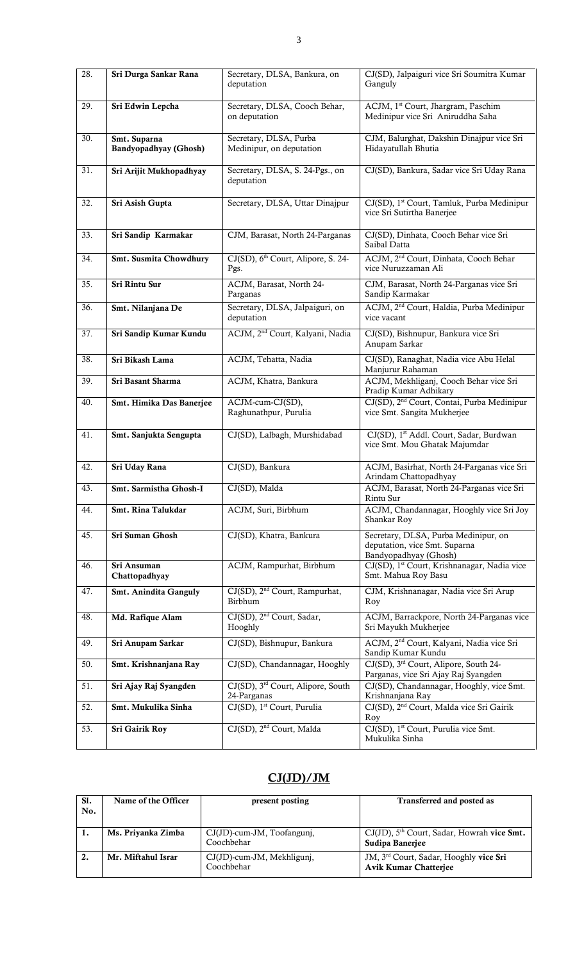| 28. | Sri Durga Sankar Rana                        | Secretary, DLSA, Bankura, on<br>deputation                   | CJ(SD), Jalpaiguri vice Sri Soumitra Kumar<br>Ganguly                                          |
|-----|----------------------------------------------|--------------------------------------------------------------|------------------------------------------------------------------------------------------------|
| 29. | Sri Edwin Lepcha                             | Secretary, DLSA, Cooch Behar,<br>on deputation               | ACJM, 1 <sup>st</sup> Court, Jhargram, Paschim<br>Medinipur vice Sri Aniruddha Saha            |
| 30. | Smt. Suparna<br><b>Bandyopadhyay</b> (Ghosh) | Secretary, DLSA, Purba<br>Medinipur, on deputation           | CJM, Balurghat, Dakshin Dinajpur vice Sri<br>Hidayatullah Bhutia                               |
| 31. | Sri Arijit Mukhopadhyay                      | Secretary, DLSA, S. 24-Pgs., on<br>deputation                | CJ(SD), Bankura, Sadar vice Sri Uday Rana                                                      |
| 32. | Sri Asish Gupta                              | Secretary, DLSA, Uttar Dinajpur                              | CJ(SD), 1 <sup>st</sup> Court, Tamluk, Purba Medinipur<br>vice Sri Sutirtha Banerjee           |
| 33. | Sri Sandip Karmakar                          | CJM, Barasat, North 24-Parganas                              | CJ(SD), Dinhata, Cooch Behar vice Sri<br>Saibal Datta                                          |
| 34. | Smt. Susmita Chowdhury                       | CJ(SD), 6 <sup>th</sup> Court, Alipore, S. 24-<br>Pgs.       | ACJM, 2 <sup>nd</sup> Court, Dinhata, Cooch Behar<br>vice Nuruzzaman Ali                       |
| 35. | Sri Rintu Sur                                | ACJM, Barasat, North 24-<br>Parganas                         | CJM, Barasat, North 24-Parganas vice Sri<br>Sandip Karmakar                                    |
| 36. | Smt. Nilanjana De                            | Secretary, DLSA, Jalpaiguri, on<br>deputation                | ACJM, 2 <sup>nd</sup> Court, Haldia, Purba Medinipur<br>vice vacant                            |
| 37. | Sri Sandip Kumar Kundu                       | ACJM, 2 <sup>nd</sup> Court, Kalyani, Nadia                  | CJ(SD), Bishnupur, Bankura vice Sri<br>Anupam Sarkar                                           |
| 38. | Sri Bikash Lama                              | ACJM, Tehatta, Nadia                                         | CJ(SD), Ranaghat, Nadia vice Abu Helal<br>Manjurur Rahaman                                     |
| 39. | Sri Basant Sharma                            | ACJM, Khatra, Bankura                                        | ACJM, Mekhliganj, Cooch Behar vice Sri<br>Pradip Kumar Adhikary                                |
| 40. | Smt. Himika Das Banerjee                     | ACJM-cum-CJ(SD),<br>Raghunathpur, Purulia                    | CJ(SD), 2 <sup>nd</sup> Court, Contai, Purba Medinipur<br>vice Smt. Sangita Mukherjee          |
| 41. | Smt. Sanjukta Sengupta                       | CJ(SD), Lalbagh, Murshidabad                                 | CJ(SD), 1st Addl. Court, Sadar, Burdwan<br>vice Smt. Mou Ghatak Majumdar                       |
| 42. | Sri Uday Rana                                | CJ(SD), Bankura                                              | ACJM, Basirhat, North 24-Parganas vice Sri<br>Arindam Chattopadhyay                            |
| 43. | Smt. Sarmistha Ghosh-I                       | CJ(SD), Malda                                                | ACJM, Barasat, North 24-Parganas vice Sri<br>Rintu Sur                                         |
| 44. | Smt. Rina Talukdar                           | ACJM, Suri, Birbhum                                          | ACJM, Chandannagar, Hooghly vice Sri Joy<br>Shankar Roy                                        |
| 45. | Sri Suman Ghosh                              | CJ(SD), Khatra, Bankura                                      | Secretary, DLSA, Purba Medinipur, on<br>deputation, vice Smt. Suparna<br>Bandyopadhyay (Ghosh) |
| 46. | Sri Ansuman<br>Chattopadhyay                 | ACJM, Rampurhat, Birbhum                                     | CJ(SD), 1 <sup>st</sup> Court, Krishnanagar, Nadia vice<br>Smt. Mahua Roy Basu                 |
| 47. | <b>Smt. Anindita Ganguly</b>                 | CJ(SD), 2 <sup>nd</sup> Court, Rampurhat,<br>Birbhum         | CJM, Krishnanagar, Nadia vice Sri Arup<br>Roy                                                  |
| 48. | Md. Rafique Alam                             | CJ(SD), 2 <sup>nd</sup> Court, Sadar,<br>Hooghly             | ACJM, Barrackpore, North 24-Parganas vice<br>Sri Mayukh Mukherjee                              |
| 49. | Sri Anupam Sarkar                            | CJ(SD), Bishnupur, Bankura                                   | ACJM, 2 <sup>nd</sup> Court, Kalyani, Nadia vice Sri<br>Sandip Kumar Kundu                     |
| 50. | Smt. Krishnanjana Ray                        | CJ(SD), Chandannagar, Hooghly                                | CJ(SD), 3rd Court, Alipore, South 24-<br>Parganas, vice Sri Ajay Raj Syangden                  |
| 51. | Sri Ajay Raj Syangden                        | CJ(SD), 3 <sup>rd</sup> Court, Alipore, South<br>24-Parganas | CJ(SD), Chandannagar, Hooghly, vice Smt.<br>Krishnanjana Ray                                   |
| 52. | Smt. Mukulika Sinha                          | CJ(SD), 1 <sup>st</sup> Court, Purulia                       | CJ(SD), 2 <sup>nd</sup> Court, Malda vice Sri Gairik<br>Roy                                    |
| 53. | <b>Sri Gairik Roy</b>                        | CJ(SD), 2 <sup>nd</sup> Court, Malda                         | CJ(SD), 1 <sup>st</sup> Court, Purulia vice Smt.<br>Mukulika Sinha                             |

# CJ(JD)/JM

| S1.<br>No. | Name of the Officer | present posting                             | Transferred and posted as                                                          |
|------------|---------------------|---------------------------------------------|------------------------------------------------------------------------------------|
| -1.        | Ms. Priyanka Zimba  | $CJ(JD)$ -cum-JM, Toofangunj,<br>Coochbehar | $CJ(JD)$ , $5th$ Court, Sadar, Howrah vice Smt.<br>Sudipa Baneriee                 |
| 2.         | Mr. Miftahul Israr  | CJ(JD)-cum-JM, Mekhligunj,<br>Coochbehar    | JM, 3 <sup>rd</sup> Court, Sadar, Hooghly vice Sri<br><b>Avik Kumar Chatterjee</b> |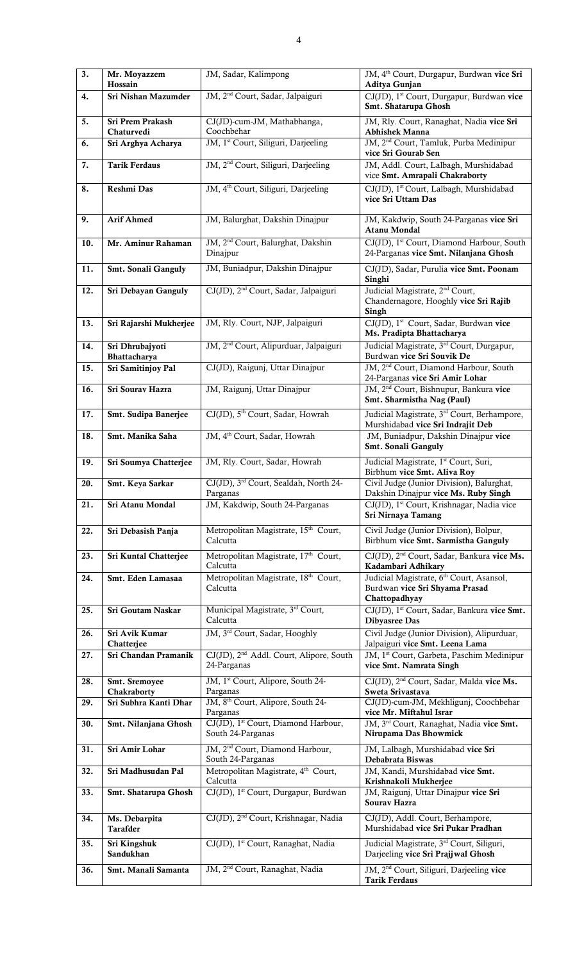| $\overline{3}$ . | Mr. Moyazzem<br>Hossain          | JM, Sadar, Kalimpong                                               | JM, 4 <sup>th</sup> Court, Durgapur, Burdwan vice Sri<br>Aditya Gunjan                                  |
|------------------|----------------------------------|--------------------------------------------------------------------|---------------------------------------------------------------------------------------------------------|
| 4.               | Sri Nishan Mazumder              | JM, 2 <sup>nd</sup> Court, Sadar, Jalpaiguri                       | CJ(JD), 1 <sup>st</sup> Court, Durgapur, Burdwan vice                                                   |
| 5.               | Sri Prem Prakash                 | CJ(JD)-cum-JM, Mathabhanga,                                        | Smt. Shatarupa Ghosh<br>JM, Rly. Court, Ranaghat, Nadia vice Sri                                        |
| 6.               | Chaturvedi<br>Sri Arghya Acharya | Coochbehar<br>JM, 1 <sup>st</sup> Court, Siliguri, Darjeeling      | <b>Abhishek Manna</b><br>JM, 2 <sup>nd</sup> Court, Tamluk, Purba Medinipur                             |
|                  |                                  |                                                                    | vice Sri Gourab Sen                                                                                     |
| 7.               | <b>Tarik Ferdaus</b>             | JM, 2 <sup>nd</sup> Court, Siliguri, Darjeeling                    | JM, Addl. Court, Lalbagh, Murshidabad<br>vice Smt. Amrapali Chakraborty                                 |
| 8.               | <b>Reshmi Das</b>                | JM, 4 <sup>th</sup> Court, Siliguri, Darjeeling                    | CJ(JD), 1st Court, Lalbagh, Murshidabad<br>vice Sri Uttam Das                                           |
| 9.               | <b>Arif Ahmed</b>                | JM, Balurghat, Dakshin Dinajpur                                    | JM, Kakdwip, South 24-Parganas vice Sri<br><b>Atanu Mondal</b>                                          |
| 10.              | Mr. Aminur Rahaman               | JM, 2 <sup>nd</sup> Court, Balurghat, Dakshin<br>Dinajpur          | CJ(JD), 1st Court, Diamond Harbour, South<br>24-Parganas vice Smt. Nilanjana Ghosh                      |
| 11.              | Smt. Sonali Ganguly              | JM, Buniadpur, Dakshin Dinajpur                                    | CJ(JD), Sadar, Purulia vice Smt. Poonam<br>Singhi                                                       |
| 12.              | Sri Debayan Ganguly              | CJ(JD), 2 <sup>nd</sup> Court, Sadar, Jalpaiguri                   | Judicial Magistrate, 2 <sup>nd</sup> Court,<br>Chandernagore, Hooghly vice Sri Rajib<br>Singh           |
| 13.              | Sri Rajarshi Mukherjee           | JM, Rly. Court, NJP, Jalpaiguri                                    | CJ(JD), 1 <sup>st</sup> Court, Sadar, Burdwan vice<br>Ms. Pradipta Bhattacharya                         |
| 14.              | Sri Dhrubajyoti<br>Bhattacharya  | JM, 2 <sup>nd</sup> Court, Alipurduar, Jalpaiguri                  | Judicial Magistrate, 3 <sup>rd</sup> Court, Durgapur,<br>Burdwan vice Sri Souvik De                     |
| 15.              | Sri Samitinjoy Pal               | CJ(JD), Raigunj, Uttar Dinajpur                                    | JM, 2 <sup>nd</sup> Court, Diamond Harbour, South<br>24-Parganas vice Sri Amir Lohar                    |
| 16.              | Sri Sourav Hazra                 | JM, Raigunj, Uttar Dinajpur                                        | JM, 2 <sup>nd</sup> Court, Bishnupur, Bankura vice<br>Smt. Sharmistha Nag (Paul)                        |
| 17.              | Smt. Sudipa Banerjee             | CJ(JD), 5 <sup>th</sup> Court, Sadar, Howrah                       | Judicial Magistrate, 3 <sup>rd</sup> Court, Berhampore,<br>Murshidabad vice Sri Indrajit Deb            |
| 18.              | Smt. Manika Saha                 | JM, 4 <sup>th</sup> Court, Sadar, Howrah                           | JM, Buniadpur, Dakshin Dinajpur vice<br>Smt. Sonali Ganguly                                             |
| 19.              | Sri Soumya Chatterjee            | JM, Rly. Court, Sadar, Howrah                                      | Judicial Magistrate, 1st Court, Suri,<br>Birbhum vice Smt. Aliva Roy                                    |
| 20.              | Smt. Keya Sarkar                 | CJ(JD), 3rd Court, Sealdah, North 24-<br>Parganas                  | Civil Judge (Junior Division), Balurghat,<br>Dakshin Dinajpur vice Ms. Ruby Singh                       |
| 21.              | Sri Atanu Mondal                 | JM, Kakdwip, South 24-Parganas                                     | CJ(JD), 1st Court, Krishnagar, Nadia vice<br>Sri Nirnaya Tamang                                         |
| 22.              | Sri Debasish Panja               | Metropolitan Magistrate, 15 <sup>th</sup> Court,<br>Calcutta       | Civil Judge (Junior Division), Bolpur,<br>Birbhum vice Smt. Sarmistha Ganguly                           |
| 23.              | Sri Kuntal Chatterjee            | Metropolitan Magistrate, 17th Court,<br>Calcutta                   | CJ(JD), 2 <sup>nd</sup> Court, Sadar, Bankura vice Ms.<br>Kadambari Adhikary                            |
| 24.              | Smt. Eden Lamasaa                | Metropolitan Magistrate, 18th Court,<br>Calcutta                   | Judicial Magistrate, 6 <sup>th</sup> Court, Asansol,<br>Burdwan vice Sri Shyama Prasad<br>Chattopadhyay |
| 25.              | Sri Goutam Naskar                | Municipal Magistrate, 3 <sup>rd</sup> Court,<br>Calcutta           | CJ(JD), 1 <sup>st</sup> Court, Sadar, Bankura vice Smt.<br><b>Dibyasree Das</b>                         |
| 26.              | Sri Avik Kumar<br>Chatterjee     | JM, 3rd Court, Sadar, Hooghly                                      | Civil Judge (Junior Division), Alipurduar,<br>Jalpaiguri vice Smt. Leena Lama                           |
| 27.              | Sri Chandan Pramanik             | CJ(JD), 2 <sup>nd</sup> Addl. Court, Alipore, South<br>24-Parganas | JM, 1 <sup>st</sup> Court, Garbeta, Paschim Medinipur<br>vice Smt. Namrata Singh                        |
| 28.              | Smt. Sremoyee<br>Chakraborty     | JM, 1 <sup>st</sup> Court, Alipore, South 24-<br>Parganas          | CJ(JD), 2 <sup>nd</sup> Court, Sadar, Malda vice Ms.<br>Sweta Srivastava                                |
| 29.              | Sri Subhra Kanti Dhar            | JM, 8 <sup>th</sup> Court, Alipore, South 24-<br>Parganas          | CJ(JD)-cum-JM, Mekhligunj, Coochbehar<br>vice Mr. Miftahul Israr                                        |
| 30.              | Smt. Nilanjana Ghosh             | CJ(JD), 1st Court, Diamond Harbour,<br>South 24-Parganas           | JM, 3 <sup>rd</sup> Court, Ranaghat, Nadia vice Smt.<br>Nirupama Das Bhowmick                           |
| 31.              | Sri Amir Lohar                   | JM, 2 <sup>nd</sup> Court, Diamond Harbour,<br>South 24-Parganas   | JM, Lalbagh, Murshidabad vice Sri<br>Debabrata Biswas                                                   |
| 32.              | Sri Madhusudan Pal               | Metropolitan Magistrate, 4 <sup>th</sup> Court,<br>Calcutta        | JM, Kandi, Murshidabad vice Smt.<br>Krishnakoli Mukherjee                                               |
| 33.              | Smt. Shatarupa Ghosh             | CJ(JD), 1 <sup>st</sup> Court, Durgapur, Burdwan                   | JM, Raigunj, Uttar Dinajpur vice Sri<br>Sourav Hazra                                                    |
| 34.              | Ms. Debarpita<br><b>Tarafder</b> | CJ(JD), 2 <sup>nd</sup> Court, Krishnagar, Nadia                   | CJ(JD), Addl. Court, Berhampore,<br>Murshidabad vice Sri Pukar Pradhan                                  |
| 35.              | Sri Kingshuk<br>Sandukhan        | CJ(JD), 1st Court, Ranaghat, Nadia                                 | Judicial Magistrate, 3 <sup>rd</sup> Court, Siliguri,<br>Darjeeling vice Sri Prajjwal Ghosh             |
| 36.              | Smt. Manali Samanta              | JM, 2 <sup>nd</sup> Court, Ranaghat, Nadia                         | JM, 2 <sup>nd</sup> Court, Siliguri, Darjeeling vice<br><b>Tarik Ferdaus</b>                            |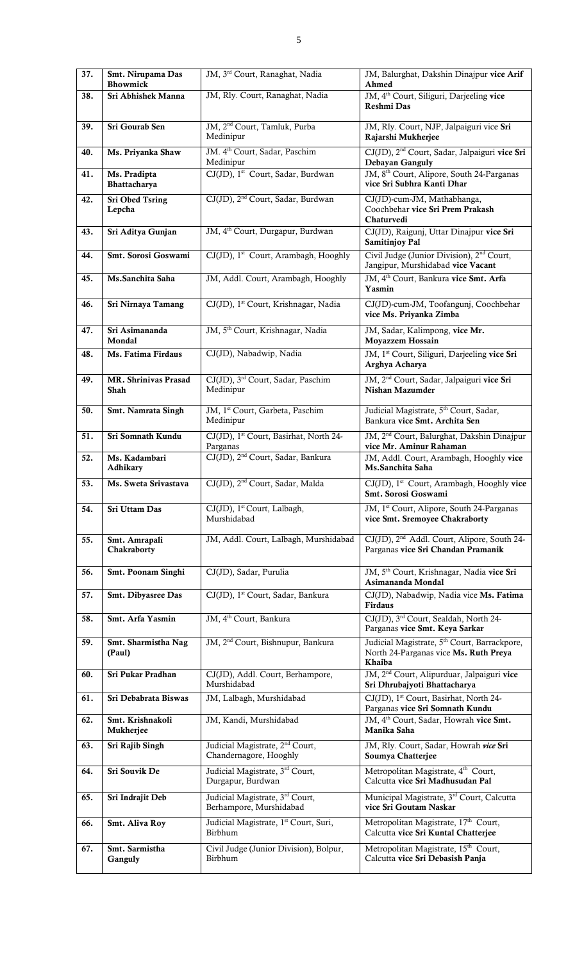| 37. | Smt. Nirupama Das<br><b>Bhowmick</b> | JM, 3 <sup>rd</sup> Court, Ranaghat, Nadia                            | JM, Balurghat, Dakshin Dinajpur vice Arif<br>Ahmed                                                          |
|-----|--------------------------------------|-----------------------------------------------------------------------|-------------------------------------------------------------------------------------------------------------|
| 38. | Sri Abhishek Manna                   | JM, Rly. Court, Ranaghat, Nadia                                       | JM, 4 <sup>th</sup> Court, Siliguri, Darjeeling vice<br>Reshmi Das                                          |
| 39. | Sri Gourab Sen                       | JM, 2 <sup>nd</sup> Court, Tamluk, Purba<br>Medinipur                 | JM, Rly. Court, NJP, Jalpaiguri vice Sri<br>Rajarshi Mukherjee                                              |
| 40. | Ms. Priyanka Shaw                    | JM. 4 <sup>th</sup> Court, Sadar, Paschim<br>Medinipur                | CJ(JD), 2 <sup>nd</sup> Court, Sadar, Jalpaiguri vice Sri<br>Debayan Ganguly                                |
| 41. | Ms. Pradipta<br>Bhattacharya         | CJ(JD), 1 <sup>st</sup> Court, Sadar, Burdwan                         | JM, 8 <sup>th</sup> Court, Alipore, South 24-Parganas<br>vice Sri Subhra Kanti Dhar                         |
| 42. | Sri Obed Tsring<br>Lepcha            | CJ(JD), 2 <sup>nd</sup> Court, Sadar, Burdwan                         | CJ(JD)-cum-JM, Mathabhanga,<br>Coochbehar vice Sri Prem Prakash<br>Chaturvedi                               |
| 43. | Sri Aditya Gunjan                    | JM, 4 <sup>th</sup> Court, Durgapur, Burdwan                          | CJ(JD), Raigunj, Uttar Dinajpur vice Sri<br><b>Samitinjoy Pal</b>                                           |
| 44. | Smt. Sorosi Goswami                  | CJ(JD), 1st Court, Arambagh, Hooghly                                  | Civil Judge (Junior Division), 2 <sup>nd</sup> Court,<br>Jangipur, Murshidabad vice Vacant                  |
| 45. | Ms.Sanchita Saha                     | JM, Addl. Court, Arambagh, Hooghly                                    | JM, 4 <sup>th</sup> Court, Bankura vice Smt. Arfa<br>Yasmin                                                 |
| 46. | Sri Nirnaya Tamang                   | CJ(JD), 1st Court, Krishnagar, Nadia                                  | CJ(JD)-cum-JM, Toofangunj, Coochbehar<br>vice Ms. Priyanka Zimba                                            |
| 47. | Sri Asimananda<br>Mondal             | JM, 5 <sup>th</sup> Court, Krishnagar, Nadia                          | JM, Sadar, Kalimpong, vice Mr.<br><b>Moyazzem Hossain</b>                                                   |
| 48. | Ms. Fatima Firdaus                   | CJ(JD), Nabadwip, Nadia                                               | JM, 1 <sup>st</sup> Court, Siliguri, Darjeeling vice Sri<br>Arghya Acharya                                  |
| 49. | MR. Shrinivas Prasad<br>Shah         | CJ(JD), 3 <sup>rd</sup> Court, Sadar, Paschim<br>Medinipur            | JM, 2 <sup>nd</sup> Court, Sadar, Jalpaiguri vice Sri<br>Nishan Mazumder                                    |
| 50. | Smt. Namrata Singh                   | JM, 1 <sup>st</sup> Court, Garbeta, Paschim<br>Medinipur              | Judicial Magistrate, 5 <sup>th</sup> Court, Sadar,<br>Bankura vice Smt. Archita Sen                         |
| 51. | Sri Somnath Kundu                    | CJ(JD), 1 <sup>st</sup> Court, Basirhat, North 24-<br>Parganas        | JM, 2 <sup>nd</sup> Court, Balurghat, Dakshin Dinajpur<br>vice Mr. Aminur Rahaman                           |
| 52. | Ms. Kadambari<br>Adhikary            | CJ(JD), 2 <sup>nd</sup> Court, Sadar, Bankura                         | JM, Addl. Court, Arambagh, Hooghly vice<br>Ms.Sanchita Saha                                                 |
| 53. | Ms. Sweta Srivastava                 | CJ(JD), 2 <sup>nd</sup> Court, Sadar, Malda                           | CJ(JD), 1 <sup>st</sup> Court, Arambagh, Hooghly vice<br>Smt. Sorosi Goswami                                |
| 54. | Sri Uttam Das                        | CJ(JD), 1 <sup>st</sup> Court, Lalbagh,<br>Murshidabad                | JM, 1 <sup>st</sup> Court, Alipore, South 24-Parganas<br>vice Smt. Sremoyee Chakraborty                     |
| 55. | Smt. Amrapali<br>Chakraborty         | JM, Addl. Court, Lalbagh, Murshidabad                                 | CJ(JD), 2 <sup>nd</sup> Addl. Court, Alipore, South 24-<br>Parganas vice Sri Chandan Pramanik               |
| 56. | Smt. Poonam Singhi                   | CJ(JD), Sadar, Purulia                                                | JM, 5 <sup>th</sup> Court, Krishnagar, Nadia vice Sri<br>Asimananda Mondal                                  |
| 57. | Smt. Dibyasree Das                   | CJ(JD), 1 <sup>st</sup> Court, Sadar, Bankura                         | CJ(JD), Nabadwip, Nadia vice Ms. Fatima<br>Firdaus                                                          |
| 58. | Smt. Arfa Yasmin                     | JM, 4 <sup>th</sup> Court, Bankura                                    | CJ(JD), 3 <sup>rd</sup> Court, Sealdah, North 24-<br>Parganas vice Smt. Keya Sarkar                         |
| 59. | Smt. Sharmistha Nag<br>(Paul)        | JM, 2 <sup>nd</sup> Court, Bishnupur, Bankura                         | Judicial Magistrate, 5 <sup>th</sup> Court, Barrackpore,<br>North 24-Parganas vice Ms. Ruth Preya<br>Khaiba |
| 60. | Sri Pukar Pradhan                    | CJ(JD), Addl. Court, Berhampore,<br>Murshidabad                       | JM, 2 <sup>nd</sup> Court, Alipurduar, Jalpaiguri vice<br>Sri Dhrubajyoti Bhattacharya                      |
| 61. | Sri Debabrata Biswas                 | JM, Lalbagh, Murshidabad                                              | CJ(JD), 1st Court, Basirhat, North 24-<br>Parganas vice Sri Somnath Kundu                                   |
| 62. | Smt. Krishnakoli<br>Mukherjee        | JM, Kandi, Murshidabad                                                | JM, 4 <sup>th</sup> Court, Sadar, Howrah vice Smt.<br>Manika Saha                                           |
| 63. | Sri Rajib Singh                      | Judicial Magistrate, 2 <sup>nd</sup> Court,<br>Chandernagore, Hooghly | JM, Rly. Court, Sadar, Howrah vice Sri<br>Soumya Chatterjee                                                 |
| 64. | <b>Sri Souvik De</b>                 | Judicial Magistrate, 3rd Court,<br>Durgapur, Burdwan                  | Metropolitan Magistrate, 4 <sup>th</sup> Court,<br>Calcutta vice Sri Madhusudan Pal                         |
| 65. | Sri Indrajit Deb                     | Judicial Magistrate, 3rd Court,<br>Berhampore, Murshidabad            | Municipal Magistrate, 3 <sup>rd</sup> Court, Calcutta<br>vice Sri Goutam Naskar                             |
| 66. | Smt. Aliva Roy                       | Judicial Magistrate, 1st Court, Suri,<br>Birbhum                      | Metropolitan Magistrate, 17th Court,<br>Calcutta vice Sri Kuntal Chatterjee                                 |
| 67. | Smt. Sarmistha<br>Ganguly            | Civil Judge (Junior Division), Bolpur,<br>Birbhum                     | Metropolitan Magistrate, 15 <sup>th</sup> Court,<br>Calcutta vice Sri Debasish Panja                        |